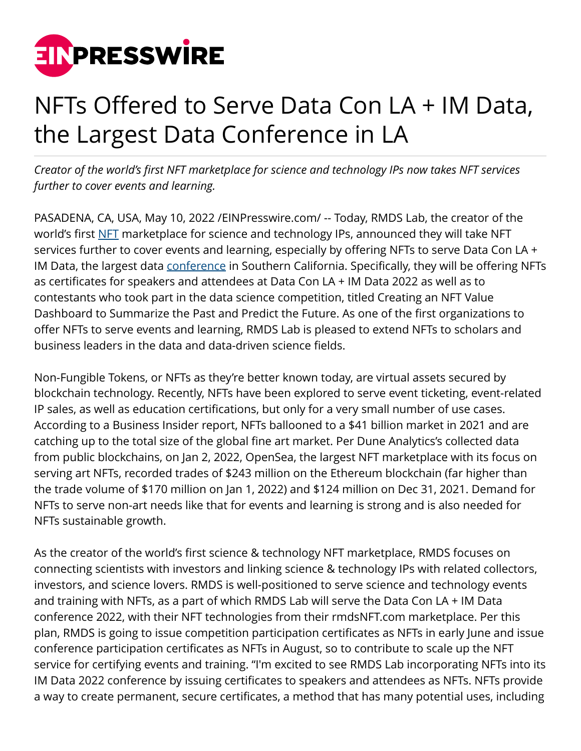

## NFTs Offered to Serve Data Con LA + IM Data, the Largest Data Conference in LA

*Creator of the world's first NFT marketplace for science and technology IPs now takes NFT services further to cover events and learning.*

PASADENA, CA, USA, May 10, 2022 /[EINPresswire.com](http://www.einpresswire.com)/ -- Today, RMDS Lab, the creator of the world's first [NFT](http://rmdsnft.com/) marketplace for science and technology IPs, announced they will take NFT services further to cover events and learning, especially by offering NFTs to serve Data Con LA + IM Data, the largest data [conference](http://www.eventbrite.com/e/data-con-la-im-data-2022-tickets-303065546207) in Southern California. Specifically, they will be offering NFTs as certificates for speakers and attendees at Data Con LA + IM Data 2022 as well as to contestants who took part in the data science competition, titled Creating an NFT Value Dashboard to Summarize the Past and Predict the Future. As one of the first organizations to offer NFTs to serve events and learning, RMDS Lab is pleased to extend NFTs to scholars and business leaders in the data and data-driven science fields.

Non-Fungible Tokens, or NFTs as they're better known today, are virtual assets secured by blockchain technology. Recently, NFTs have been explored to serve event ticketing, event-related IP sales, as well as education certifications, but only for a very small number of use cases. According to a Business Insider report, NFTs ballooned to a \$41 billion market in 2021 and are catching up to the total size of the global fine art market. Per Dune Analytics's collected data from public blockchains, on Jan 2, 2022, OpenSea, the largest NFT marketplace with its focus on serving art NFTs, recorded trades of \$243 million on the Ethereum blockchain (far higher than the trade volume of \$170 million on Jan 1, 2022) and \$124 million on Dec 31, 2021. Demand for NFTs to serve non-art needs like that for events and learning is strong and is also needed for NFTs sustainable growth.

As the creator of the world's first science & technology NFT marketplace, RMDS focuses on connecting scientists with investors and linking science & technology IPs with related collectors, investors, and science lovers. RMDS is well-positioned to serve science and technology events and training with NFTs, as a part of which RMDS Lab will serve the Data Con LA + IM Data conference 2022, with their NFT technologies from their rmdsNFT.com marketplace. Per this plan, RMDS is going to issue competition participation certificates as NFTs in early June and issue conference participation certificates as NFTs in August, so to contribute to scale up the NFT service for certifying events and training. "I'm excited to see RMDS Lab incorporating NFTs into its IM Data 2022 conference by issuing certificates to speakers and attendees as NFTs. NFTs provide a way to create permanent, secure certificates, a method that has many potential uses, including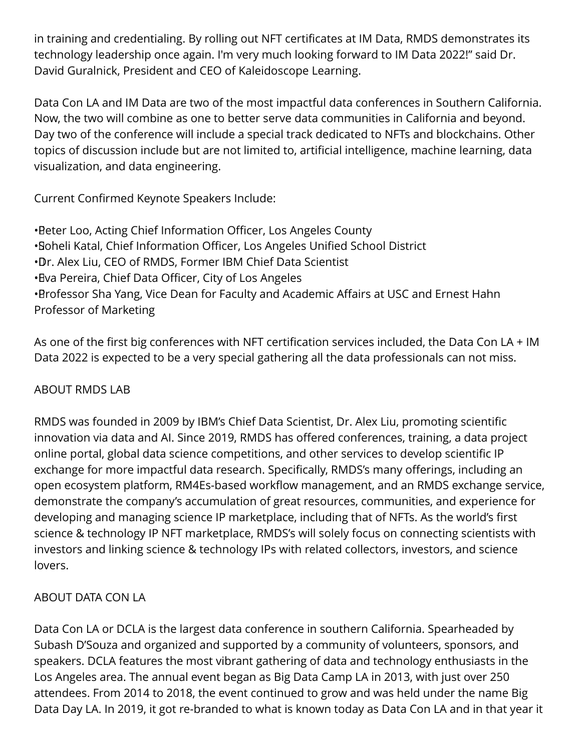in training and credentialing. By rolling out NFT certificates at IM Data, RMDS demonstrates its technology leadership once again. I'm very much looking forward to IM Data 2022!" said Dr. David Guralnick, President and CEO of Kaleidoscope Learning.

Data Con LA and IM Data are two of the most impactful data conferences in Southern California. Now, the two will combine as one to better serve data communities in California and beyond. Day two of the conference will include a special track dedicated to NFTs and blockchains. Other topics of discussion include but are not limited to, artificial intelligence, machine learning, data visualization, and data engineering.

Current Confirmed Keynote Speakers Include:

• Peter Loo, Acting Chief Information Officer, Los Angeles County • Soheli Katal, Chief Information Officer, Los Angeles Unified School District • Dr. Alex Liu, CEO of RMDS, Former IBM Chief Data Scientist • Eva Pereira, Chief Data Officer, City of Los Angeles • Brofessor Sha Yang, Vice Dean for Faculty and Academic Affairs at USC and Ernest Hahn Professor of Marketing

As one of the first big conferences with NFT certification services included, the Data Con LA + IM Data 2022 is expected to be a very special gathering all the data professionals can not miss.

## ABOUT RMDS LAB

RMDS was founded in 2009 by IBM's Chief Data Scientist, Dr. Alex Liu, promoting scientific innovation via data and AI. Since 2019, RMDS has offered conferences, training, a data project online portal, global data science competitions, and other services to develop scientific IP exchange for more impactful data research. Specifically, RMDS's many offerings, including an open ecosystem platform, RM4Es-based workflow management, and an RMDS exchange service, demonstrate the company's accumulation of great resources, communities, and experience for developing and managing science IP marketplace, including that of NFTs. As the world's first science & technology IP NFT marketplace, RMDS's will solely focus on connecting scientists with investors and linking science & technology IPs with related collectors, investors, and science lovers.

## ABOUT DATA CON LA

Data Con LA or DCLA is the largest data conference in southern California. Spearheaded by Subash D'Souza and organized and supported by a community of volunteers, sponsors, and speakers. DCLA features the most vibrant gathering of data and technology enthusiasts in the Los Angeles area. The annual event began as Big Data Camp LA in 2013, with just over 250 attendees. From 2014 to 2018, the event continued to grow and was held under the name Big Data Day LA. In 2019, it got re-branded to what is known today as Data Con LA and in that year it